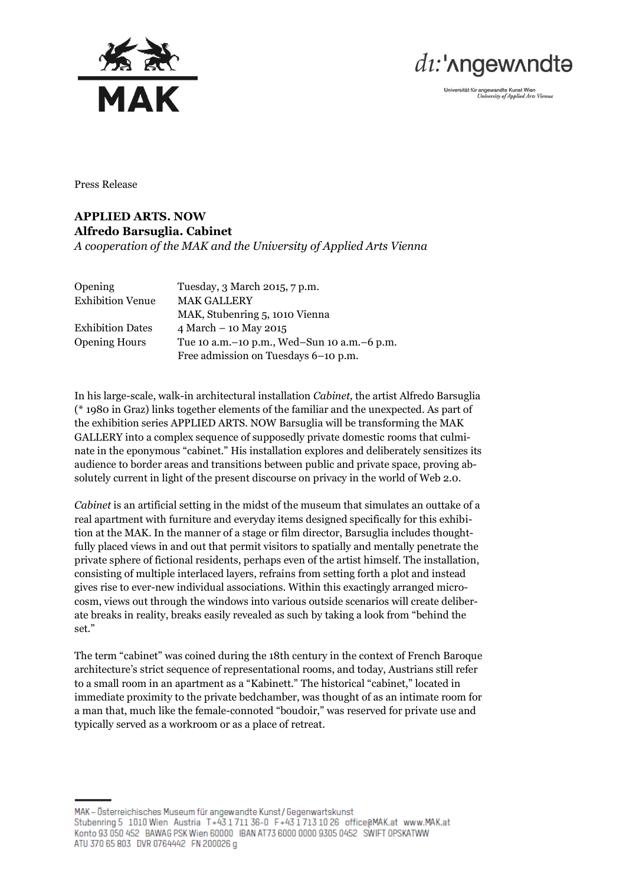



Universität für angewandte Kunst Wien<br>University of Applied Arts Vienna

Press Release

## **APPLIED ARTS. NOW Alfredo Barsuglia. Cabinet** *A cooperation of the MAK and the University of Applied Arts Vienna*

| <b>Opening</b>          | Tuesday, 3 March 2015, 7 p.m.                   |
|-------------------------|-------------------------------------------------|
| <b>Exhibition Venue</b> | <b>MAK GALLERY</b>                              |
|                         | MAK, Stubenring 5, 1010 Vienna                  |
| <b>Exhibition Dates</b> | 4 March $-$ 10 May 2015                         |
| <b>Opening Hours</b>    | Tue 10 a.m. – 10 p.m., Wed–Sun 10 a.m. – 6 p.m. |
|                         | Free admission on Tuesdays 6–10 p.m.            |

In his large-scale, walk-in architectural installation *Cabinet,* the artist Alfredo Barsuglia (\* 1980 in Graz) links together elements of the familiar and the unexpected. As part of the exhibition series APPLIED ARTS. NOW Barsuglia will be transforming the MAK GALLERY into a complex sequence of supposedly private domestic rooms that culminate in the eponymous "cabinet." His installation explores and deliberately sensitizes its audience to border areas and transitions between public and private space, proving absolutely current in light of the present discourse on privacy in the world of Web 2.0.

*Cabinet* is an artificial setting in the midst of the museum that simulates an outtake of a real apartment with furniture and everyday items designed specifically for this exhibition at the MAK. In the manner of a stage or film director, Barsuglia includes thoughtfully placed views in and out that permit visitors to spatially and mentally penetrate the private sphere of fictional residents, perhaps even of the artist himself. The installation, consisting of multiple interlaced layers, refrains from setting forth a plot and instead gives rise to ever-new individual associations. Within this exactingly arranged microcosm, views out through the windows into various outside scenarios will create deliberate breaks in reality, breaks easily revealed as such by taking a look from "behind the set."

The term "cabinet" was coined during the 18th century in the context of French Baroque architecture's strict sequence of representational rooms, and today, Austrians still refer to a small room in an apartment as a "Kabinett." The historical "cabinet," located in immediate proximity to the private bedchamber, was thought of as an intimate room for a man that, much like the female-connoted "boudoir," was reserved for private use and typically served as a workroom or as a place of retreat.

MAK - Österreichisches Museum für angewandte Kunst / Gegenwartskunst Stubenring 5 1010 Wien Austria T+43 1711 36-0 F+43 1713 10 26 office@MAK.at www.MAK.at Konto 93 050 452 BAWAG PSK Wien 60000 IBAN AT73 6000 0000 9305 0452 SWIFT OPSKATWW ATU 370 65 803 DVR 0764442 FN 200026 g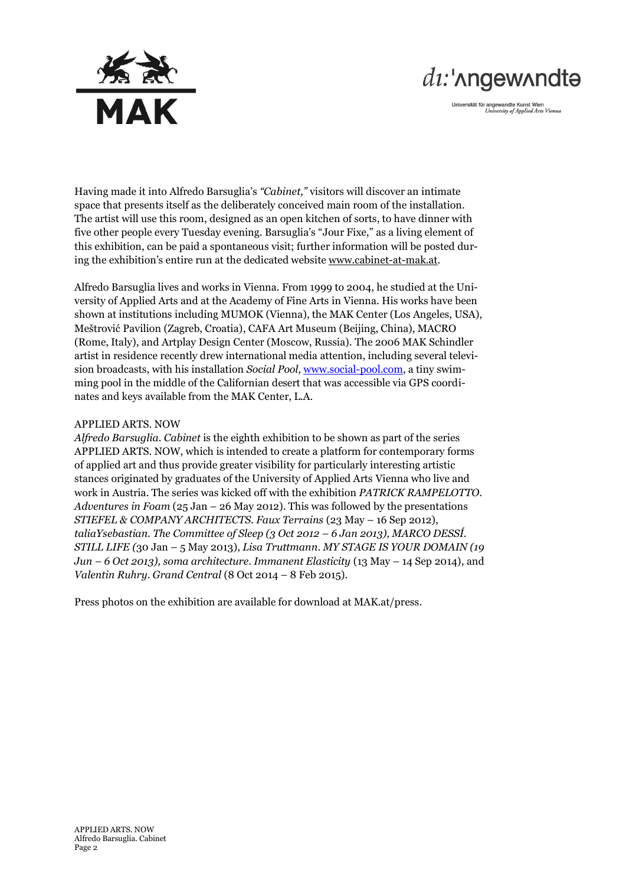

## $di$ :' $\Lambda$ ngew $\Lambda$ ndtə

Universität für angewandte Kunst Wien<br>University of Applied Arts Vienna

Having made it into Alfredo Barsuglia's *"Cabinet,"* visitors will discover an intimate space that presents itself as the deliberately conceived main room of the installation. The artist will use this room, designed as an open kitchen of sorts, to have dinner with five other people every Tuesday evening. Barsuglia's "Jour Fixe," as a living element of this exhibition, can be paid a spontaneous visit; further information will be posted during the exhibition's entire run at the dedicated website [www.cabinet-at-mak.at.](http://www.cabinet-at-mak.at/)

Alfredo Barsuglia lives and works in Vienna. From 1999 to 2004, he studied at the University of Applied Arts and at the Academy of Fine Arts in Vienna. His works have been shown at institutions including MUMOK (Vienna), the MAK Center (Los Angeles, USA), Meštrović Pavilion (Zagreb, Croatia), CAFA Art Museum (Beijing, China), MACRO (Rome, Italy), and Artplay Design Center (Moscow, Russia). The 2006 MAK Schindler artist in residence recently drew international media attention, including several television broadcasts, with his installation *Social Pool,* [www.social-pool.com,](http://www.social-pool.com/) a tiny swimming pool in the middle of the Californian desert that was accessible via GPS coordinates and keys available from the MAK Center, L.A.

## APPLIED ARTS. NOW

*Alfredo Barsuglia. Cabinet* is the eighth exhibition to be shown as part of the series APPLIED ARTS. NOW, which is intended to create a platform for contemporary forms of applied art and thus provide greater visibility for particularly interesting artistic stances originated by graduates of the University of Applied Arts Vienna who live and work in Austria. The series was kicked off with the exhibition *PATRICK RAMPELOTTO. Adventures in Foam* (25 Jan – 26 May 2012). This was followed by the presentations *STIEFEL & COMPANY ARCHITECTS. Faux Terrains* (23 May – 16 Sep 2012), *taliaYsebastian. The Committee of Sleep (3 Oct 2012 – 6 Jan 2013), MARCO DESSÍ. STILL LIFE (*30 Jan – 5 May 2013), *Lisa Truttmann. MY STAGE IS YOUR DOMAIN (19 Jun – 6 Oct 2013), soma architecture. Immanent Elasticity* (13 May – 14 Sep 2014), and *Valentin Ruhry. Grand Central* (8 Oct 2014 – 8 Feb 2015).

Press photos on the exhibition are available for download at MAK.at/press.